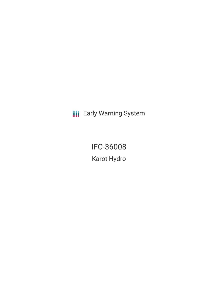**III** Early Warning System

IFC-36008 Karot Hydro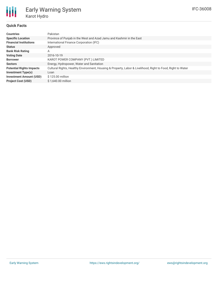

# Early Warning System Karot Hydro

# **Quick Facts**

| <b>Countries</b>                | Pakistan                                                                                                    |
|---------------------------------|-------------------------------------------------------------------------------------------------------------|
| <b>Specific Location</b>        | Province of Punjab in the West and Azad Jamu and Kashmir in the East                                        |
| <b>Financial Institutions</b>   | International Finance Corporation (IFC)                                                                     |
| <b>Status</b>                   | Approved                                                                                                    |
| <b>Bank Risk Rating</b>         | Α                                                                                                           |
| <b>Voting Date</b>              | 2016-10-19                                                                                                  |
| <b>Borrower</b>                 | KAROT POWER COMPANY (PVT.) LIMITED                                                                          |
| <b>Sectors</b>                  | Energy, Hydropower, Water and Sanitation                                                                    |
| <b>Potential Rights Impacts</b> | Cultural Rights, Healthy Environment, Housing & Property, Labor & Livelihood, Right to Food, Right to Water |
| <b>Investment Type(s)</b>       | Loan                                                                                                        |
| <b>Investment Amount (USD)</b>  | \$125,00 million                                                                                            |
| <b>Project Cost (USD)</b>       | \$1,640,00 million                                                                                          |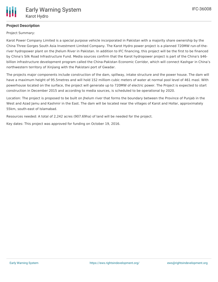# **Project Description**

Project Summary:

Karot Power Company Limited is a special purpose vehicle incorporated in Pakistan with a majority share ownership by the China Three Gorges South Asia Investment Limited Company. The Karot Hydro power project is a planned 720MW run-of-theriver hydropower plant on the Jhelum River in Pakistan. In addition to IFC financing, this project will be the first to be financed by China's Silk Road Infrastructure Fund. Media sources confirm that the Karot hydropower project is part of the China's \$46 billion infrastructure development program called the China-Pakistan Economic Corridor, which will connect Kashgar in China's northwestern territory of Xinjiang with the Pakistani port of Gwadar.

The projects major components include construction of the dam, spillway, intake structure and the power house. The dam will have a maximum height of 95.5metres and will hold 152 milliom cubic meters of water at normal pool level of 461 masl. With powerhouse located on the surface, the project will generate up to 720MW of electric power. The Project is expected to start construction in December 2015 and according to media sources, is scheduled to be operational by 2020.

Location: The project is proposed to be built on Jhelum river that forms the boundary between the Province of Punjab in the West and Azad Jamu and Kashmir in the East. The dam will be located near the villages of Karot and Hollar, approximately 55km, south-east of Islamabad.

Resources needed: A total of 2,242 acres (907.69ha) of land will be needed for the project.

Key dates: This project was approved for funding on October 19, 2016.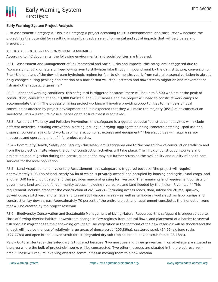# **Early Warning System Project Analysis**

Risk Assessment: Category A. This is a Category A project according to IFC's environmental and social review because the project has the potential for resulting in significant adverse environmental and social impacts that will be diverse and irreversible.

# APPLICABLE SOCIAL & ENVIRONMENTAL STANDARDS

According to IFC documents, the following environmental and social policies are triggered:

PS 1 – Assessment and Management of Environmental and Social Risks and Impacts- this safeguard is triggered due to "conversion of 27 kilometers of free-flowing river to still-water lake through impoundment by the dam structure; conversion of 7 to 48 kilometers of the downstream hydrologic regime for four to six months yearly from natural seasonal variation to abrupt daily changes during peaking and creation of a barrier that will stop upstream and downstream migration and movement of fish and other aquatic organisms."

PS 2 - Labor and working conditions- this safeguard is triggered because "there will be up to 3,500 workers at the peak of construction, consisting of about 3,000 Pakistani and 500 Chinese and the project will need to construct work camps to accommodate them." The process of hiring project workers will involve providing opportunities to members of local communities affected by project development and it is expected that they will make the majority (85%) of its construction workforce. This will require close supervision to ensure that it is achieved.

PS 3 - Resource Efficiency and Pollution Prevention- this safeguard is triggered because "construction activities will include different activities including excavation, blasting, drilling, quarrying, aggregate crushing, concrete batching, spoil use and disposal, concrete laying, brickwork, cabling, erection of structures and equipment." These activities will require safety measures and operating a landfill for project wastes.

PS 4 – Community Health, Safety and Security- this safeguard is triggered due to "increased flow of construction traffic to and from the project dam site where the bulk of construction activities will take place. The influx of construction workers and project-induced migration during the construction period may put further stress on the availability and quality of health care services for the local population."

PS 5 – Land Acquisition and Involuntary Resettlement- this safeguard is triggered because "the project will require approximately 1,030 ha of land, nearly 56 ha of which is privately owned land occupied by housing and agricultural crops, and another 340 ha is uncultivated land that provides marginal grazing for livestock. The remaining land requirement consists of government land available for community access, including river banks and land flooded by the Jhelum River itself." This requirement includes areas for the construction of civil works – including access roads, dam, intake structures, spillway, powerhouse, switchyard and tailrace and tunnel spoil disposal areas – as well as temporary works such as labor camps and construction lay down areas. Approximately 70 percent of the entire project land requirement constitutes the inundation zone that will be created by the project reservoir.

PS 6 – Biodiversity Conservation and Sustainable Management of Living Natural Resources- this safeguard is triggered due to "loss of flowing riverine habitat, downstream change in flow regimes from natural flows, and placement of a barrier to several fish species' migrations to their spawning grounds." The vegetation in the footprint of the new reservoir will be flooded and the impact will involve the loss of relatively large areas of dense scrub (205.86ha), scattered scrub (54.96ha), bare rocks (127.77ha) and open broad-leaved scrub forest (degraded dry sub-tropical broad-leaved scrub forest, 28.18ha).

PS 8 – Cultural Heritage- this safeguard is triggered because "two mosques and three gravesites in Karot village are situated in the area where the bulk of project civil works will be constructed. Two other mosques are situated in the project reservoir area." These will require involving affected communities in moving them to a new location.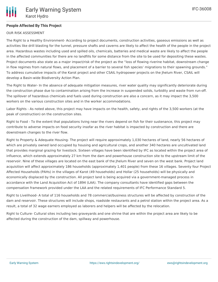### **People Affected By This Project**

### OUR RISK ASSESSMENT

The Right to a Healthy Environment- According to project documents, construction activities, gaseous emissions as well as activities like drill blasting for the tunnel, pressure shafts and caverns are likely to affect the health of the people in the project area. Hazardous wastes including used and spilled oils, chemicals, batteries and medical waste are likely to affect the people in the affected communities for there are no landfills for some distance from the site to be used for depositing these wastes. Project documents also state as a major impact/risk of the project as the "loss of flowing riverine habitat, downstream change in flow regimes from natural flows, and placement of a barrier to several fish species' migrations to their spawning grounds." To address cumulative impacts of the Karot project and other CSAIL hydropower projects on the Jhelum River, CSAIL will develop a Basin-wide Biodiversity Action Plan.

The Right to Water- In the absence of adequate mitigation measures, river water quality may significantly deteriorate during the construction phase due to contamination arising from the increase in suspended solids, turbidity and waste from run-off. The spillover of hazardous chemicals and fuels used during construction are also a concern, as it may impact the 3,500 workers on the various construction sites and in the worker accommodations.

Labor Rights - As noted above, this project may have impacts on the health, safety, and rights of the 3,500 workers (at the peak of construction) on the construction sites.

Right to Food - To the extent that populations living near the rivers depend on fish for their sustenance, this project may contribute to adverse impacts on food security insofar as the river habitat is impacted by construction and there are downstream changes to the river flow.

Right to Property & Adequate Housing- The project will require approximately 1,030 hectares of land, nearly 56 hectares of which are privately owned land occupied by housing and agricultural crops, and another 340 hectares are uncultivated land that provides marginal grazing for livestock. Sixteen villages have been identified by IFC as located within the project area of influence, which extends approximately 27 km from the dam and powerhouse construction site to the upstream limit of the reservoir. Nine of these villages are located on the east bank of the Jhelum River and seven on the west bank. Project land acquisition will affect approximately 186 households (approximately 1,401 people) from these 16 villages. Seventy four Project Affected Households (PAHs) in the villages of Karot (49 households) and Hollar (25 households) will be physically and economically displaced by the construction. All project land is being acquired via a government-managed process in accordance with the Land Acquisition Act of 1894 (LAA). The company consultants have identified gaps between the compensation framework provided under the LAA and the related requirements of IFC Performance Standard 5.

Right to Livelihood- A total of 116 households and 78 commercial/business structures will be affected by construction of the dam and reservoir. These structures will include shops, roadside restaurants and a petrol station within the project area. As a result, a total of 32 wage earners employed as laborers and helpers will be affected by the relocation.

Right to Culture- Cultural sites including two graveyards and one shrine that are within the project area are likely to be affected during the construction of the dam, spillway and powerhouse.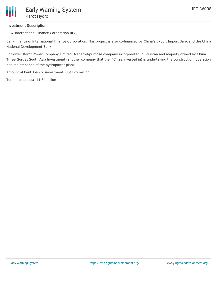# **Investment Description**

• International Finance Corporation (IFC)

Bank financing: International Finance Corporation. This project is also co-financed by China's Export Import Bank and the China National Development Bank.

Borrower: Karot Power Company Limited. A special-purpose company incorporated in Pakistan and majority owned by China Three Gorges South Asia Investment (another company that the IFC has invested in) is undertaking the construction, operation and maintenance of the hydropower plant.

Amount of bank loan or investment: US\$125 million

Total project cost: \$1.64 billion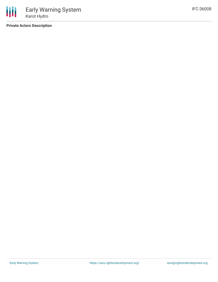**Private Actors Description**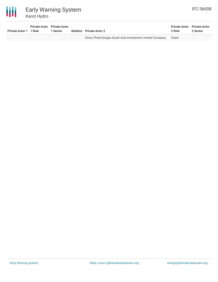

| <b>Private Actor 1 1 Role</b> | <b>Private Actor</b> Private Actor | 1 Sector |            | <b>Relation</b> Private Actor 2                          | <b>Private Actor</b> Private Actor<br>2 Role | 2 Sector                 |
|-------------------------------|------------------------------------|----------|------------|----------------------------------------------------------|----------------------------------------------|--------------------------|
|                               |                                    |          | $\sim$ $-$ | China Three Gorges South Asia Investment Limited Company | Client                                       | $\overline{\phantom{a}}$ |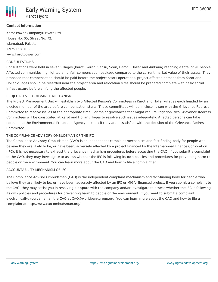# **Contact Information**

Karot Power Company(Private)Ltd House No. 05, Street No. 72, Islamabad, Pakistan. +92512287088 www.karotpower.com

### CONSULTATIONS

Consultations were held in seven villages (Karot, Gorah, Sansu, Soan, Barohi, Hollar and AinPana) reaching a total of 91 people. Affected communities highlighted an unfair compensation package compared to the current market value of their assets. They proposed that compensation should be paid before the project starts operations, project affected persons from Karot and Hollar villages should be resettled near the project area and relocation sites should be prepared complete with basic social infrastructure before shifting the affected people.

### PROJECT-LEVEL GRIEVANCE MECHANISM

The Project Management Unit will establish two Affected Person's Committees in Karot and Hollar villages each headed by an elected member of the area before compensation starts. These committees will be in close liaison with the Grievance Redress Committee to resolve issues at the appropriate time. For major grievances that might require litigation, two Grievance Redress Committees will be constituted at Karot and Hollar villages to resolve such issues adequately. Affected persons can take recourse to the Environmental Protection Agency or court if they are dissatisfied with the decision of the Grievance Redress Committee.

### THE COMPLIANCE ADVISORY OMBUDSMAN OF THE IFC

The Compliance Advisory Ombudsman (CAO) is an independent complaint mechanism and fact-finding body for people who believe they are likely to be, or have been, adversely affected by a project financed by the International Finance Corporation (IFC). It is not necessary to exhaust the grievance mechanism procedures before accessing the CAO. If you submit a complaint to the CAO, they may investigate to assess whether the IFC is following its own policies and procedures for preventing harm to people or the environment. You can learn more about the CAO and how to file a complaint at:

#### ACCOUNTABILITY MECHANISM OF IFC

The Compliance Advisor Ombudsman (CAO) is the independent complaint mechanism and fact-finding body for people who believe they are likely to be, or have been, adversely affected by an IFC or MIGA- financed project. If you submit a complaint to the CAO, they may assist you in resolving a dispute with the company and/or investigate to assess whether the IFC is following its own policies and procedures for preventing harm to people or the environment. If you want to submit a complaint electronically, you can email the CAO at CAO@worldbankgroup.org. You can learn more about the CAO and how to file a complaint at http://www.cao-ombudsman.org/